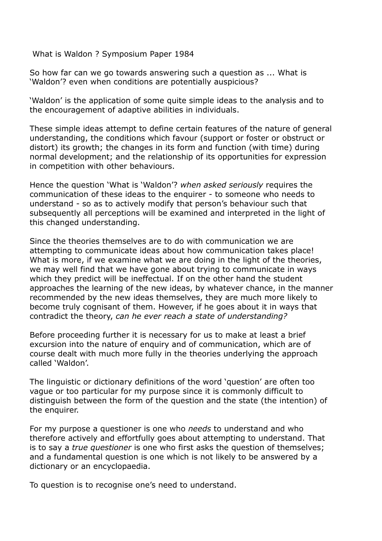What is Waldon ? Symposium Paper 1984

So how far can we go towards answering such a question as ... What is 'Waldon'? even when conditions are potentially auspicious?

'Waldon' is the application of some quite simple ideas to the analysis and to the encouragement of adaptive abilities in individuals.

These simple ideas attempt to define certain features of the nature of general understanding, the conditions which favour (support or foster or obstruct or distort) its growth; the changes in its form and function (with time) during normal development; and the relationship of its opportunities for expression in competition with other behaviours.

Hence the question 'What is 'Waldon'? when asked seriously requires the communication of these ideas to the enquirer - to someone who needs to understand - so as to actively modify that person's behaviour such that subsequently all perceptions will be examined and interpreted in the light of this changed understanding.

Since the theories themselves are to do with communication we are attempting to communicate ideas about how communication takes place! What is more, if we examine what we are doing in the light of the theories, we may well find that we have gone about trying to communicate in ways which they predict will be ineffectual. If on the other hand the student approaches the learning of the new ideas, by whatever chance, in the manner recommended by the new ideas themselves, they are much more likely to become truly cognisant of them. However, if he goes about it in ways that contradict the theory, can he ever reach a state of understanding?

Before proceeding further it is necessary for us to make at least a brief excursion into the nature of enquiry and of communication, which are of course dealt with much more fully in the theories underlying the approach called 'Waldon'.

The linguistic or dictionary definitions of the word 'question' are often too vague or too particular for my purpose since it is commonly difficult to distinguish between the form of the question and the state (the intention) of the enquirer.

For my purpose a questioner is one who needs to understand and who therefore actively and effortfully goes about attempting to understand. That is to say a true questioner is one who first asks the question of themselves; and a fundamental question is one which is not likely to be answered by a dictionary or an encyclopaedia.

To question is to recognise one's need to understand.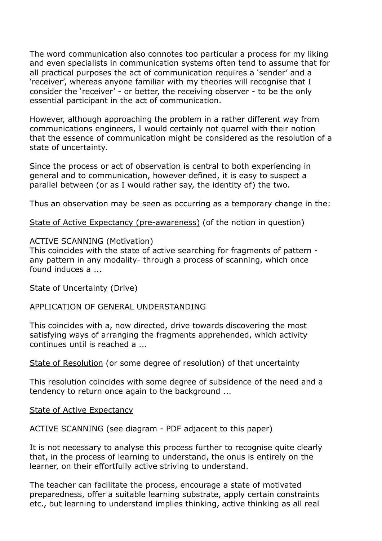The word communication also connotes too particular a process for my liking and even specialists in communication systems often tend to assume that for all practical purposes the act of communication requires a 'sender' and a 'receiver', whereas anyone familiar with my theories will recognise that I consider the 'receiver' - or better, the receiving observer - to be the only essential participant in the act of communication.

However, although approaching the problem in a rather different way from communications engineers, I would certainly not quarrel with their notion that the essence of communication might be considered as the resolution of a state of uncertainty.

Since the process or act of observation is central to both experiencing in general and to communication, however defined, it is easy to suspect a parallel between (or as I would rather say, the identity of) the two.

Thus an observation may be seen as occurring as a temporary change in the:

State of Active Expectancy (pre-awareness) (of the notion in question)

### ACTIVE SCANNING (Motivation)

This coincides with the state of active searching for fragments of pattern any pattern in any modality- through a process of scanning, which once found induces a ...

State of Uncertainty (Drive)

# APPLICATION OF GENERAL UNDERSTANDING

This coincides with a, now directed, drive towards discovering the most satisfying ways of arranging the fragments apprehended, which activity continues until is reached a ...

State of Resolution (or some degree of resolution) of that uncertainty

This resolution coincides with some degree of subsidence of the need and a tendency to return once again to the background ...

**State of Active Expectancy** 

ACTIVE SCANNING (see diagram - PDF adjacent to this paper)

It is not necessary to analyse this process further to recognise quite clearly that, in the process of learning to understand, the onus is entirely on the learner, on their effortfully active striving to understand.

The teacher can facilitate the process, encourage a state of motivated preparedness, offer a suitable learning substrate, apply certain constraints etc., but learning to understand implies thinking, active thinking as all real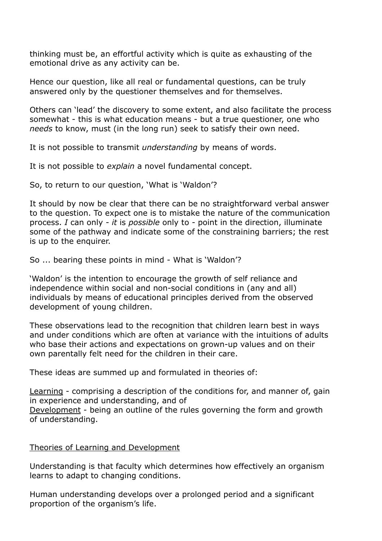thinking must be, an effortful activity which is quite as exhausting of the emotional drive as any activity can be.

Hence our question, like all real or fundamental questions, can be truly answered only by the questioner themselves and for themselves.

Others can 'lead' the discovery to some extent, and also facilitate the process somewhat - this is what education means - but a true questioner, one who needs to know, must (in the long run) seek to satisfy their own need.

It is not possible to transmit *understanding* by means of words.

It is not possible to explain a novel fundamental concept.

So, to return to our question, 'What is 'Waldon'?

It should by now be clear that there can be no straightforward verbal answer to the question. To expect one is to mistake the nature of the communication process. I can only - it is possible only to - point in the direction, illuminate some of the pathway and indicate some of the constraining barriers; the rest is up to the enquirer.

So ... bearing these points in mind - What is 'Waldon'?

'Waldon' is the intention to encourage the growth of self reliance and independence within social and non-social conditions in (any and all) individuals by means of educational principles derived from the observed development of young children.

These observations lead to the recognition that children learn best in ways and under conditions which are often at variance with the intuitions of adults who base their actions and expectations on grown-up values and on their own parentally felt need for the children in their care.

These ideas are summed up and formulated in theories of:

Learning - comprising a description of the conditions for, and manner of, gain in experience and understanding, and of Development - being an outline of the rules governing the form and growth of understanding.

# Theories of Learning and Development

Understanding is that faculty which determines how effectively an organism learns to adapt to changing conditions.

Human understanding develops over a prolonged period and a significant proportion of the organism's life.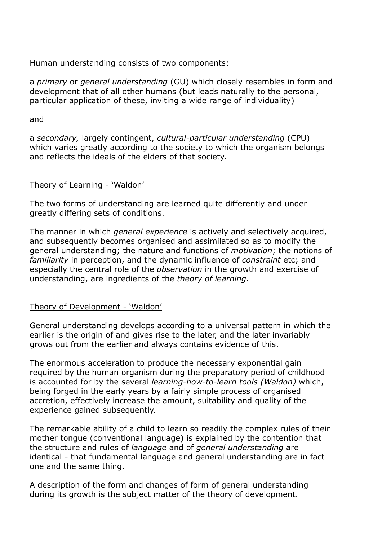Human understanding consists of two components:

a primary or general understanding (GU) which closely resembles in form and development that of all other humans (but leads naturally to the personal, particular application of these, inviting a wide range of individuality)

## and

a secondary, largely contingent, cultural-particular understanding (CPU) which varies greatly according to the society to which the organism belongs and reflects the ideals of the elders of that society.

# Theory of Learning - 'Waldon'

The two forms of understanding are learned quite differently and under greatly differing sets of conditions.

The manner in which *general experience* is actively and selectively acquired, and subsequently becomes organised and assimilated so as to modify the general understanding; the nature and functions of motivation; the notions of familiarity in perception, and the dynamic influence of constraint etc; and especially the central role of the observation in the growth and exercise of understanding, are ingredients of the theory of learning.

# Theory of Development - 'Waldon'

General understanding develops according to a universal pattern in which the earlier is the origin of and gives rise to the later, and the later invariably grows out from the earlier and always contains evidence of this.

The enormous acceleration to produce the necessary exponential gain required by the human organism during the preparatory period of childhood is accounted for by the several learning-how-to-learn tools (Waldon) which, being forged in the early years by a fairly simple process of organised accretion, effectively increase the amount, suitability and quality of the experience gained subsequently.

The remarkable ability of a child to learn so readily the complex rules of their mother tongue (conventional language) is explained by the contention that the structure and rules of language and of general understanding are identical - that fundamental language and general understanding are in fact one and the same thing.

A description of the form and changes of form of general understanding during its growth is the subject matter of the theory of development.